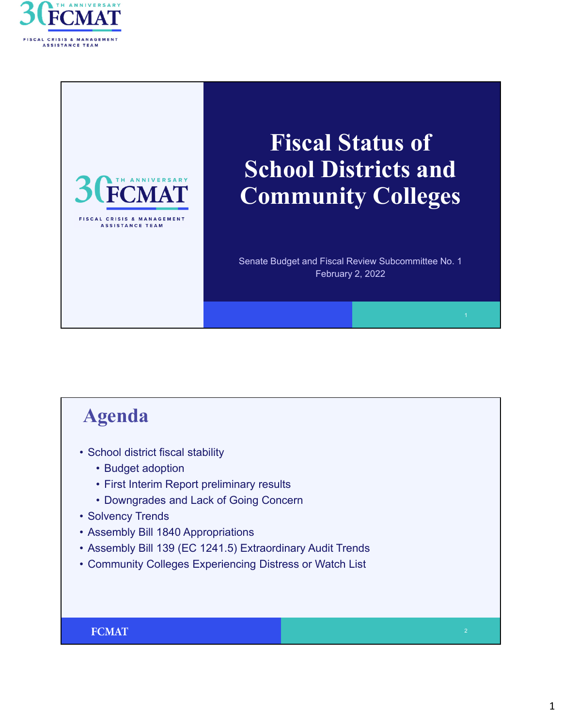



# **Fiscal Status of School Districts and Community Colleges**

Senate Budget and Fiscal Review Subcommittee No. 1 February 2, 2022

### **Agenda**

- School district fiscal stability
	- Budget adoption
	- First Interim Report preliminary results
	- Downgrades and Lack of Going Concern
- Solvency Trends
- Assembly Bill 1840 Appropriations
- Assembly Bill 139 (EC 1241.5) Extraordinary Audit Trends
- Community Colleges Experiencing Distress or Watch List

#### **FCMAT**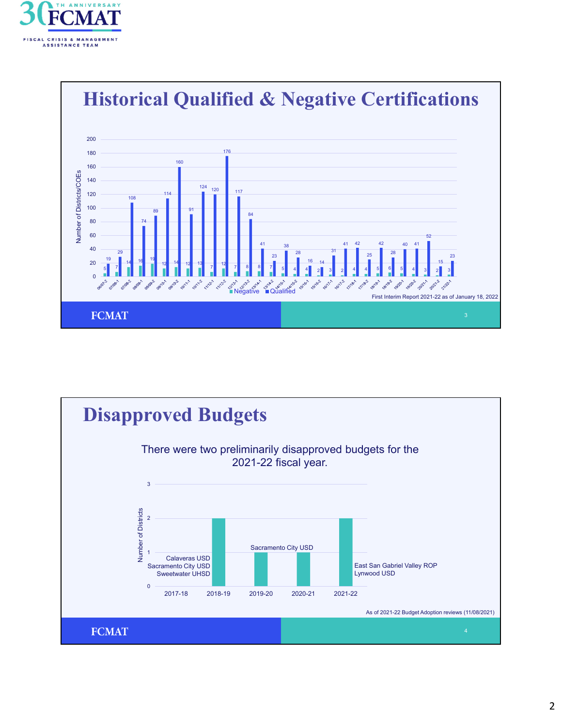



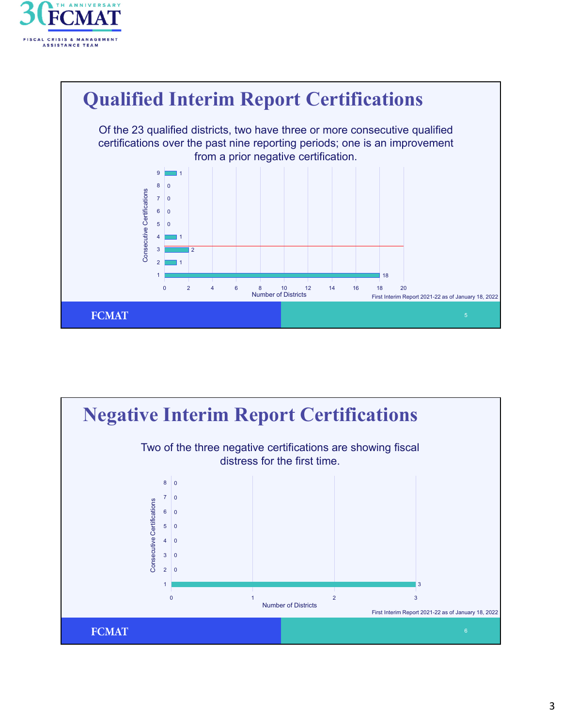



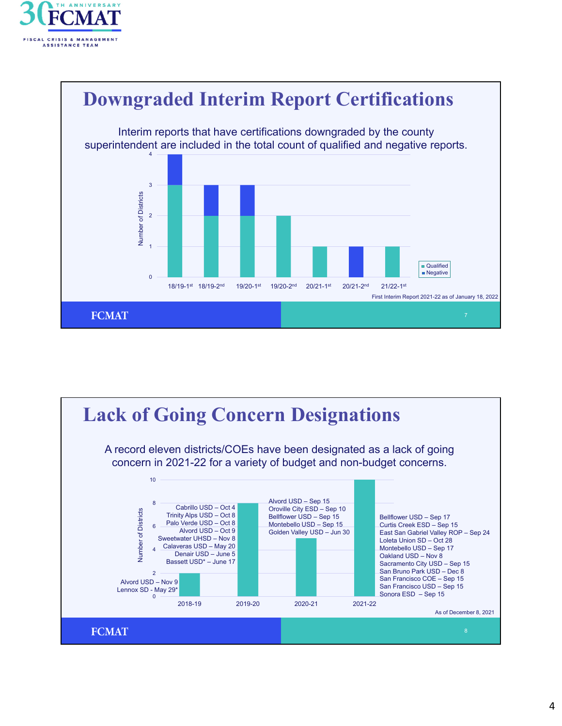



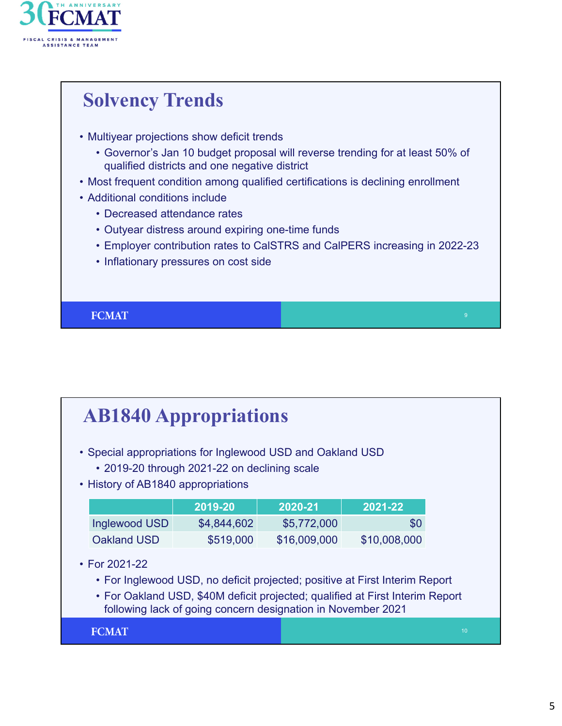

## **Solvency Trends**

- Multiyear projections show deficit trends
	- Governor's Jan 10 budget proposal will reverse trending for at least 50% of qualified districts and one negative district
- Most frequent condition among qualified certifications is declining enrollment
- Additional conditions include
	- Decreased attendance rates
	- Outyear distress around expiring one-time funds
	- Employer contribution rates to CalSTRS and CalPERS increasing in 2022-23
	- Inflationary pressures on cost side

**FCMAT** 

## **AB1840 Appropriations**

- Special appropriations for Inglewood USD and Oakland USD
	- 2019-20 through 2021-22 on declining scale
- History of AB1840 appropriations

|               | 2019-20     | 2020-21      | 2021-22      |
|---------------|-------------|--------------|--------------|
| Inglewood USD | \$4,844,602 | \$5,772,000  | \$0          |
| Oakland USD   | \$519,000   | \$16,009,000 | \$10,008,000 |

- For 2021-22
	- For Inglewood USD, no deficit projected; positive at First Interim Report
	- For Oakland USD, \$40M deficit projected; qualified at First Interim Report following lack of going concern designation in November 2021